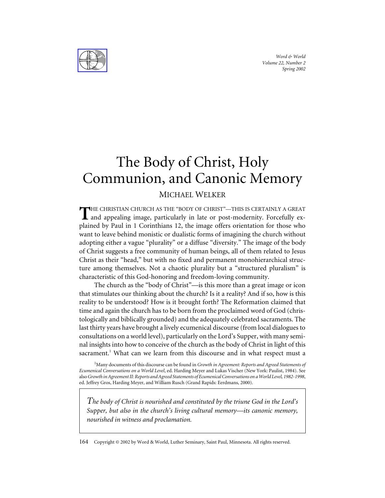*Word & World Volume 22, Number 2 Spring 2002*



## The Body of Christ, Holy Communion, and Canonic Memory

## MICHAEL WELKER

HE CHRISTIAN CHURCH AS THE "BODY OF CHRIST"—THIS IS CERTAINLY A GREAT and appealing image, particularly in late or post-modernity. Forcefully explained by Paul in 1 Corinthians 12, the image offers orientation for those who want to leave behind monistic or dualistic forms of imagining the church without adopting either a vague "plurality" or a diffuse "diversity." The image of the body of Christ suggests a free community of human beings, all of them related to Jesus Christ as their "head," but with no fixed and permanent monohierarchical structure among themselves. Not a chaotic plurality but a "structured pluralism" is characteristic of this God-honoring and freedom-loving community.

The church as the "body of Christ"—is this more than a great image or icon that stimulates our thinking about the church? Is it a reality? And if so, how is this reality to be understood? How is it brought forth? The Reformation claimed that time and again the church has to be born from the proclaimed word of God (christologically and biblically grounded) and the adequately celebrated sacraments. The last thirty years have brought a lively ecumenical discourse (from local dialogues to consultations on a world level), particularly on the Lord's Supper, with many seminal insights into how to conceive of the church as the body of Christ in light of this sacrament.<sup>1</sup> What can we learn from this discourse and in what respect must a

1 Many documents of this discourse can be found in *Growth in Agreement: Reports and Agreed Statements of Ecumenical Conversations on a World Level*, ed. Harding Meyer and Lukas Vischer (New York: Paulist, 1984). See also*Growth in Agreement II: Reports and Agreed Statements of Ecumenical Conversations on a World Level, 1982-1998*, ed. Jeffrey Gros, Harding Meyer, and William Rusch (Grand Rapids: Eerdmans, 2000).

*The body of Christ is nourished and constituted by the triune God in the Lord's Supper, but also in the church's living cultural memory—its canonic memory, nourished in witness and proclamation.*

164 Copyright © 2002 by Word & World, Luther Seminary, Saint Paul, Minnesota. All rights reserved.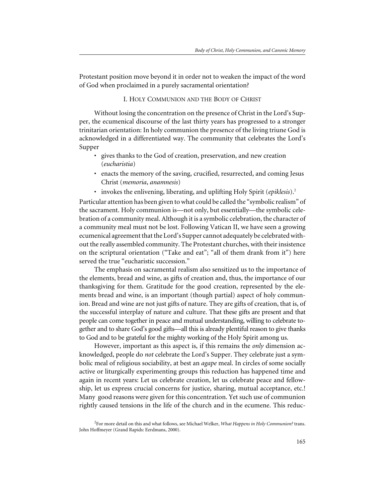Protestant position move beyond it in order not to weaken the impact of the word of God when proclaimed in a purely sacramental orientation?

## I. HOLY COMMUNION AND THE BODY OF CHRIST

Without losing the concentration on the presence of Christ in the Lord's Supper, the ecumenical discourse of the last thirty years has progressed to a stronger trinitarian orientation: In holy communion the presence of the living triune God is acknowledged in a differentiated way. The community that celebrates the Lord's Supper

- gives thanks to the God of creation, preservation, and new creation (*eucharistia*)
- enacts the memory of the saving, crucified, resurrected, and coming Jesus Christ (*memoria*, *anamnesis*)
- invokes the enlivening, liberating, and uplifting Holy Spirit (*epiklesis*).2

Particular attention has been given to what could be called the "symbolic realism" of the sacrament. Holy communion is—not only, but essentially—the symbolic celebration of a community meal. Although it is a symbolic celebration, the character of a community meal must not be lost. Following Vatican II, we have seen a growing ecumenical agreement that the Lord's Supper cannot adequately be celebrated without the really assembled community. The Protestant churches, with their insistence on the scriptural orientation ("Take and eat"; "all of them drank from it") here served the true "eucharistic succession."

The emphasis on sacramental realism also sensitized us to the importance of the elements, bread and wine, as gifts of creation and, thus, the importance of our thanksgiving for them. Gratitude for the good creation, represented by the elements bread and wine, is an important (though partial) aspect of holy communion. Bread and wine are not just gifts of nature. They are gifts of creation, that is, of the successful interplay of nature and culture. That these gifts are present and that people can come together in peace and mutual understanding, willing to celebrate together and to share God's good gifts—all this is already plentiful reason to give thanks to God and to be grateful for the mighty working of the Holy Spirit among us.

However, important as this aspect is, if this remains the *only* dimension acknowledged, people do *not* celebrate the Lord's Supper. They celebrate just a symbolic meal of religious sociability, at best an *agape* meal. In circles of some socially active or liturgically experimenting groups this reduction has happened time and again in recent years: Let us celebrate creation, let us celebrate peace and fellowship, let us express crucial concerns for justice, sharing, mutual acceptance, etc.! Many good reasons were given for this concentration. Yet such use of communion rightly caused tensions in the life of the church and in the ecumene. This reduc-

<sup>2</sup> For more detail on this and what follows, see Michael Welker, *What Happens in Holy Communion?* trans. John Hoffmeyer (Grand Rapids: Eerdmans, 2000).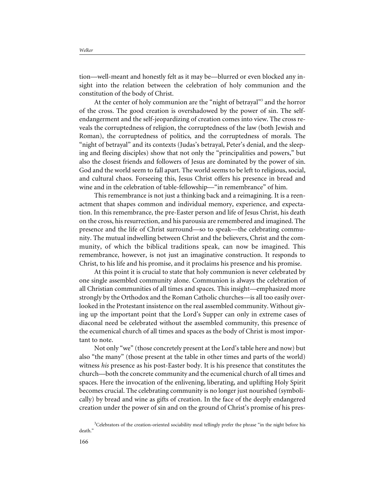*Welker*

tion—well-meant and honestly felt as it may be—blurred or even blocked any insight into the relation between the celebration of holy communion and the constitution of the body of Christ.

At the center of holy communion are the "night of betrayal"3 and the horror of the cross. The good creation is overshadowed by the power of sin. The selfendangerment and the self-jeopardizing of creation comes into view. The cross reveals the corruptedness of religion, the corruptedness of the law (both Jewish and Roman), the corruptedness of politics, and the corruptedness of morals. The "night of betrayal" and its contexts (Judas's betrayal, Peter's denial, and the sleeping and fleeing disciples) show that not only the "principalities and powers," but also the closest friends and followers of Jesus are dominated by the power of sin. God and the world seem to fall apart. The world seems to be left to religious, social, and cultural chaos. Forseeing this, Jesus Christ offers his presence in bread and wine and in the celebration of table-fellowship—"in remembrance" of him.

This remembrance is not just a thinking back and a reimagining. It is a reenactment that shapes common and individual memory, experience, and expectation. In this remembrance, the pre-Easter person and life of Jesus Christ, his death on the cross, his resurrection, and his parousia are remembered and imagined. The presence and the life of Christ surround—so to speak—the celebrating community. The mutual indwelling between Christ and the believers, Christ and the community, of which the biblical traditions speak, can now be imagined. This remembrance, however, is not just an imaginative construction. It responds to Christ, to his life and his promise, and it proclaims his presence and his promise.

At this point it is crucial to state that holy communion is never celebrated by one single assembled community alone. Communion is always the celebration of all Christian communities of all times and spaces. This insight—emphasized more strongly by the Orthodox and the Roman Catholic churches—is all too easily overlooked in the Protestant insistence on the real assembled community. Without giving up the important point that the Lord's Supper can only in extreme cases of diaconal need be celebrated without the assembled community, this presence of the ecumenical church of all times and spaces as the body of Christ is most important to note.

Not only "we" (those concretely present at the Lord's table here and now) but also "the many" (those present at the table in other times and parts of the world) witness *his* presence as his post-Easter body. It is his presence that constitutes the church—both the concrete community and the ecumenical church of all times and spaces. Here the invocation of the enlivening, liberating, and uplifting Holy Spirit becomes crucial. The celebrating community is no longer just nourished (symbolically) by bread and wine as gifts of creation. In the face of the deeply endangered creation under the power of sin and on the ground of Christ's promise of his pres-

<sup>&</sup>lt;sup>3</sup>Celebrators of the creation-oriented sociability meal tellingly prefer the phrase "in the night before his death."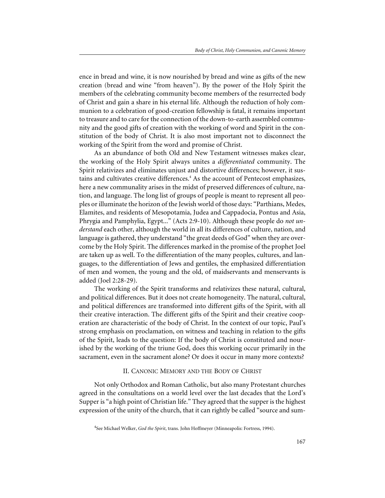ence in bread and wine, it is now nourished by bread and wine as gifts of the new creation (bread and wine "from heaven"). By the power of the Holy Spirit the members of the celebrating community become members of the resurrected body of Christ and gain a share in his eternal life. Although the reduction of holy communion to a celebration of good-creation fellowship is fatal, it remains important to treasure and to care for the connection of the down-to-earth assembled community and the good gifts of creation with the working of word and Spirit in the constitution of the body of Christ. It is also most important not to disconnect the working of the Spirit from the word and promise of Christ.

As an abundance of both Old and New Testament witnesses makes clear, the working of the Holy Spirit always unites a *differentiated* community. The Spirit relativizes and eliminates unjust and distortive differences; however, it sustains and cultivates creative differences.<sup>4</sup> As the account of Pentecost emphasizes, here a new communality arises in the midst of preserved differences of culture, nation, and language. The long list of groups of people is meant to represent all peoples or illuminate the horizon of the Jewish world of those days: "Parthians, Medes, Elamites, and residents of Mesopotamia, Judea and Cappadocia, Pontus and Asia, Phrygia and Pamphylia, Egypt..." (Acts 2:9-10). Although these people do *not understand* each other, although the world in all its differences of culture, nation, and language is gathered, they understand "the great deeds of God" when they are overcome by the Holy Spirit. The differences marked in the promise of the prophet Joel are taken up as well. To the differentiation of the many peoples, cultures, and languages, to the differentiation of Jews and gentiles, the emphasized differentiation of men and women, the young and the old, of maidservants and menservants is added (Joel 2:28-29).

The working of the Spirit transforms and relativizes these natural, cultural, and political differences. But it does not create homogeneity. The natural, cultural, and political differences are transformed into different gifts of the Spirit, with all their creative interaction. The different gifts of the Spirit and their creative cooperation are characteristic of the body of Christ. In the context of our topic, Paul's strong emphasis on proclamation, on witness and teaching in relation to the gifts of the Spirit, leads to the question: If the body of Christ is constituted and nourished by the working of the triune God, does this working occur primarily in the sacrament, even in the sacrament alone? Or does it occur in many more contexts?

## II. CANONIC MEMORY AND THE BODY OF CHRIST

Not only Orthodox and Roman Catholic, but also many Protestant churches agreed in the consultations on a world level over the last decades that the Lord's Supper is "a high point of Christian life." They agreed that the supper is the highest expression of the unity of the church, that it can rightly be called "source and sum-

<sup>4</sup> See Michael Welker, *God the Spirit*, trans. John Hoffmeyer (Minneapolis: Fortress, 1994).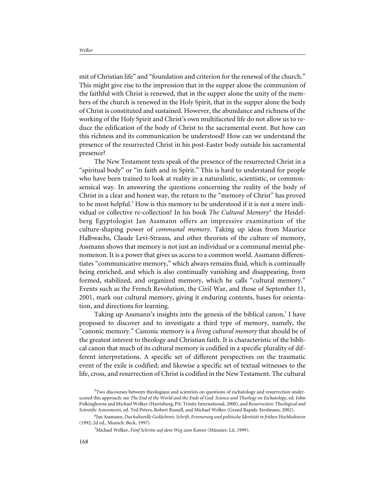*Welker*

mit of Christian life" and "foundation and criterion for the renewal of the church." This might give rise to the impression that in the supper alone the communion of the faithful with Christ is renewed, that in the supper alone the unity of the members of the church is renewed in the Holy Spirit, that in the supper alone the body of Christ is constituted and sustained. However, the abundance and richness of the working of the Holy Spirit and Christ's own multifaceted life do not allow us to reduce the edification of the body of Christ to the sacramental event. But how can this richness and its communication be understood? How can we understand the presence of the resurrected Christ in his post-Easter body outside his sacramental presence?

The New Testament texts speak of the presence of the resurrected Christ in a "spiritual body" or "in faith and in Spirit." This is hard to understand for people who have been trained to look at reality in a naturalistic, scientistic, or commonsensical way. In answering the questions concerning the reality of the body of Christ in a clear and honest way, the return to the "memory of Christ" has proved to be most helpful.<sup>5</sup> How is this memory to be understood if it is not a mere individual or collective re-collection? In his book *The Cultural Memory*<sup>6</sup> the Heidelberg Egyptologist Jan Assmann offers an impressive examination of the culture-shaping power of *communal memory*. Taking up ideas from Maurice Halbwachs, Claude Levi-Strauss, and other theorists of the culture of memory, Assmann shows that memory is not just an individual or a communal mental phenomenon. It is a power that gives us access to a common world. Assmann differentiates "communicative memory," which always remains fluid, which is continually being enriched, and which is also continually vanishing and disappearing, from formed, stabilized, and organized memory, which he calls "cultural memory." Events such as the French Revolution, the Civil War, and those of September 11, 2001, mark our cultural memory, giving it enduring contents, bases for orientation, and directions for learning.

Taking up Assmann's insights into the genesis of the biblical canon, $7$  I have proposed to discover and to investigate a third type of memory, namely, the "canonic memory." Canonic memory is a *living cultural memory* that should be of the greatest interest to theology and Christian faith. It is characteristic of the biblical canon that much of its cultural memory is codified in a specific plurality of different interpretations. A specific set of different perspectives on the traumatic event of the exile is codified; and likewise a specific set of textual witnesses to the life, cross, and resurrection of Christ is codified in the New Testament. The cultural

<sup>&</sup>lt;sup>5</sup>Two discourses between theologians and scientists on questions of eschatology and resurrection underscored this approach: see *The End of the World and the Ends of God: Science and Theology on Eschatology*, ed. John Polkinghorne and Michael Welker (Harrisburg, PA: Trinity International, 2000), and *Resurrection: Theological and Scientific Assessments*, ed. Ted Peters, Robert Russell, and Michael Welker (Grand Rapids: Eerdmans, 2002).

<sup>6</sup> Jan Assmann, *Das kulturelle Gedächtnis: Schrift, Erinnerung und politische Identität in frühen Hochkulturen* (1992; 2d ed., Munich: Beck, 1997).

<sup>7</sup> Michael Welker, *Fünf Schritte auf dem Weg zum Kanon* (Münster: Lit, 1999).